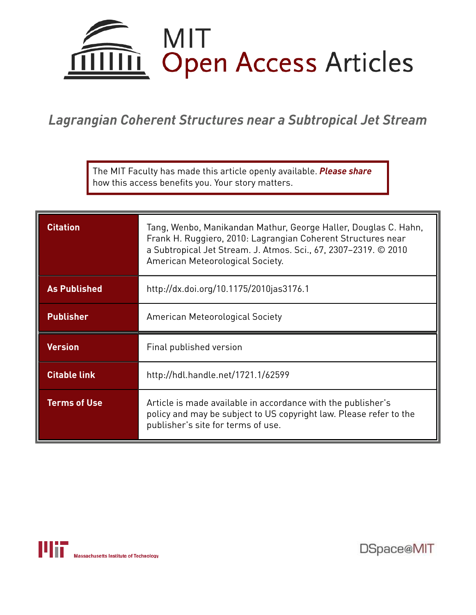

*Lagrangian Coherent Structures near a Subtropical Jet Stream*

The MIT Faculty has made this article openly available. *Please share*  how this access benefits you. Your story matters.

| <b>Citation</b>     | Tang, Wenbo, Manikandan Mathur, George Haller, Douglas C. Hahn,<br>Frank H. Ruggiero, 2010: Lagrangian Coherent Structures near<br>a Subtropical Jet Stream. J. Atmos. Sci., 67, 2307-2319. © 2010<br>American Meteorological Society. |
|---------------------|----------------------------------------------------------------------------------------------------------------------------------------------------------------------------------------------------------------------------------------|
| <b>As Published</b> | http://dx.doi.org/10.1175/2010jas3176.1                                                                                                                                                                                                |
| <b>Publisher</b>    | American Meteorological Society                                                                                                                                                                                                        |
| <b>Version</b>      | Final published version                                                                                                                                                                                                                |
| <b>Citable link</b> | http://hdl.handle.net/1721.1/62599                                                                                                                                                                                                     |
| <b>Terms of Use</b> | Article is made available in accordance with the publisher's<br>policy and may be subject to US copyright law. Please refer to the<br>publisher's site for terms of use.                                                               |



DSpace@MIT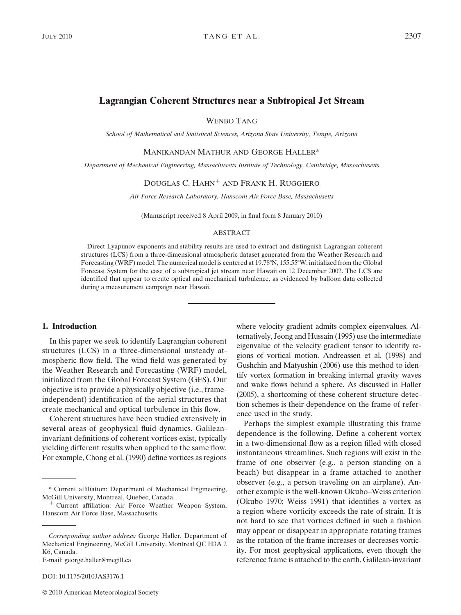# Lagrangian Coherent Structures near a Subtropical Jet Stream

WENBO TANG

*School of Mathematical and Statistical Sciences, Arizona State University, Tempe, Arizona*

MANIKANDAN MATHUR AND GEORGE HALLER\*

*Department of Mechanical Engineering, Massachusetts Institute of Technology, Cambridge, Massachusetts*

DOUGLAS C. HAHN<sup>+</sup> AND FRANK H. RUGGIERO

*Air Force Research Laboratory, Hanscom Air Force Base, Massachusetts*

(Manuscript received 8 April 2009, in final form 8 January 2010)

### ABSTRACT

Direct Lyapunov exponents and stability results are used to extract and distinguish Lagrangian coherent structures (LCS) from a three-dimensional atmospheric dataset generated from the Weather Research and Forecasting (WRF) model. The numerical model is centered at 19.78°N, 155.55°W, initialized from the Global Forecast System for the case of a subtropical jet stream near Hawaii on 12 December 2002. The LCS are identified that appear to create optical and mechanical turbulence, as evidenced by balloon data collected during a measurement campaign near Hawaii.

#### 1. Introduction

In this paper we seek to identify Lagrangian coherent structures (LCS) in a three-dimensional unsteady atmospheric flow field. The wind field was generated by the Weather Research and Forecasting (WRF) model, initialized from the Global Forecast System (GFS). Our objective is to provide a physically objective (i.e., frameindependent) identification of the aerial structures that create mechanical and optical turbulence in this flow.

Coherent structures have been studied extensively in several areas of geophysical fluid dynamics. Galileaninvariant definitions of coherent vortices exist, typically yielding different results when applied to the same flow. For example, Chong et al. (1990) define vortices as regions

E-mail: george.haller@mcgill.ca

DOI: 10.1175/2010JAS3176.1

where velocity gradient admits complex eigenvalues. Alternatively, Jeong and Hussain (1995) use the intermediate eigenvalue of the velocity gradient tensor to identify regions of vortical motion. Andreassen et al. (1998) and Gushchin and Matyushin (2006) use this method to identify vortex formation in breaking internal gravity waves and wake flows behind a sphere. As discussed in Haller (2005), a shortcoming of these coherent structure detection schemes is their dependence on the frame of reference used in the study.

Perhaps the simplest example illustrating this frame dependence is the following. Define a coherent vortex in a two-dimensional flow as a region filled with closed instantaneous streamlines. Such regions will exist in the frame of one observer (e.g., a person standing on a beach) but disappear in a frame attached to another observer (e.g., a person traveling on an airplane). Another example is the well-known Okubo–Weiss criterion (Okubo 1970; Weiss 1991) that identifies a vortex as a region where vorticity exceeds the rate of strain. It is not hard to see that vortices defined in such a fashion may appear or disappear in appropriate rotating frames as the rotation of the frame increases or decreases vorticity. For most geophysical applications, even though the reference frame is attached to the earth, Galilean-invariant

<sup>\*</sup> Current affiliation: Department of Mechanical Engineering, McGill University, Montreal, Quebec, Canada.

<sup>&</sup>lt;sup>+</sup> Current affiliation: Air Force Weather Weapon System, Hanscom Air Force Base, Massachusetts.

*Corresponding author address:* George Haller, Department of Mechanical Engineering, McGill University, Montreal QC H3A 2 K6, Canada.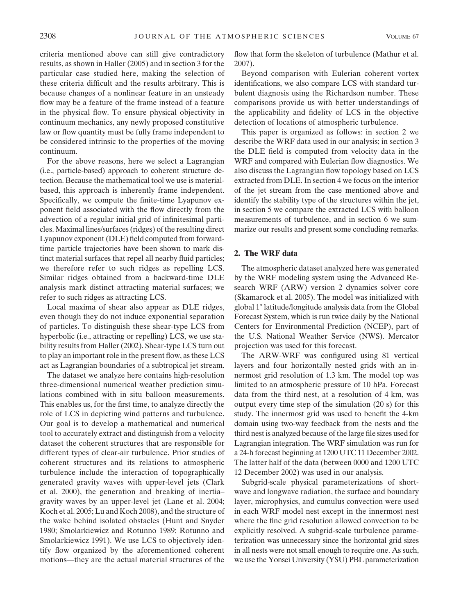criteria mentioned above can still give contradictory results, as shown in Haller (2005) and in section 3 for the particular case studied here, making the selection of these criteria difficult and the results arbitrary. This is because changes of a nonlinear feature in an unsteady flow may be a feature of the frame instead of a feature in the physical flow. To ensure physical objectivity in continuum mechanics, any newly proposed constitutive law or flow quantity must be fully frame independent to be considered intrinsic to the properties of the moving continuum.

For the above reasons, here we select a Lagrangian (i.e., particle-based) approach to coherent structure detection. Because the mathematical tool we use is materialbased, this approach is inherently frame independent. Specifically, we compute the finite-time Lyapunov exponent field associated with the flow directly from the advection of a regular initial grid of infinitesimal particles. Maximal lines/surfaces (ridges) of the resulting direct Lyapunov exponent (DLE) field computed from forwardtime particle trajectories have been shown to mark distinct material surfaces that repel all nearby fluid particles; we therefore refer to such ridges as repelling LCS. Similar ridges obtained from a backward-time DLE analysis mark distinct attracting material surfaces; we refer to such ridges as attracting LCS.

Local maxima of shear also appear as DLE ridges, even though they do not induce exponential separation of particles. To distinguish these shear-type LCS from hyperbolic (i.e., attracting or repelling) LCS, we use stability results from Haller (2002). Shear-type LCS turn out to play an important role in the present flow, as these LCS act as Lagrangian boundaries of a subtropical jet stream.

The dataset we analyze here contains high-resolution three-dimensional numerical weather prediction simulations combined with in situ balloon measurements. This enables us, for the first time, to analyze directly the role of LCS in depicting wind patterns and turbulence. Our goal is to develop a mathematical and numerical tool to accurately extract and distinguish from a velocity dataset the coherent structures that are responsible for different types of clear-air turbulence. Prior studies of coherent structures and its relations to atmospheric turbulence include the interaction of topographically generated gravity waves with upper-level jets (Clark et al. 2000), the generation and breaking of inertia– gravity waves by an upper-level jet (Lane et al. 2004; Koch et al. 2005; Lu and Koch 2008), and the structure of the wake behind isolated obstacles (Hunt and Snyder 1980; Smolarkiewicz and Rotunno 1989; Rotunno and Smolarkiewicz 1991). We use LCS to objectively identify flow organized by the aforementioned coherent motions—they are the actual material structures of the

flow that form the skeleton of turbulence (Mathur et al. 2007).

Beyond comparison with Eulerian coherent vortex identifications, we also compare LCS with standard turbulent diagnosis using the Richardson number. These comparisons provide us with better understandings of the applicability and fidelity of LCS in the objective detection of locations of atmospheric turbulence.

This paper is organized as follows: in section 2 we describe the WRF data used in our analysis; in section 3 the DLE field is computed from velocity data in the WRF and compared with Eulerian flow diagnostics. We also discuss the Lagrangian flow topology based on LCS extracted from DLE. In section 4 we focus on the interior of the jet stream from the case mentioned above and identify the stability type of the structures within the jet, in section 5 we compare the extracted LCS with balloon measurements of turbulence, and in section 6 we summarize our results and present some concluding remarks.

# 2. The WRF data

The atmospheric dataset analyzed here was generated by the WRF modeling system using the Advanced Research WRF (ARW) version 2 dynamics solver core (Skamarock et al. 2005). The model was initialized with global 1° latitude/longitude analysis data from the Global Forecast System, which is run twice daily by the National Centers for Environmental Prediction (NCEP), part of the U.S. National Weather Service (NWS). Mercator projection was used for this forecast.

The ARW-WRF was configured using 81 vertical layers and four horizontally nested grids with an innermost grid resolution of 1.3 km. The model top was limited to an atmospheric pressure of 10 hPa. Forecast data from the third nest, at a resolution of 4 km, was output every time step of the simulation (20 s) for this study. The innermost grid was used to benefit the 4-km domain using two-way feedback from the nests and the third nest is analyzed because of the large file sizes used for Lagrangian integration. The WRF simulation was run for a 24-h forecast beginning at 1200 UTC 11 December 2002. The latter half of the data (between 0000 and 1200 UTC 12 December 2002) was used in our analysis.

Subgrid-scale physical parameterizations of shortwave and longwave radiation, the surface and boundary layer, microphysics, and cumulus convection were used in each WRF model nest except in the innermost nest where the fine grid resolution allowed convection to be explicitly resolved. A subgrid-scale turbulence parameterization was unnecessary since the horizontal grid sizes in all nests were not small enough to require one. As such, we use the Yonsei University (YSU) PBL parameterization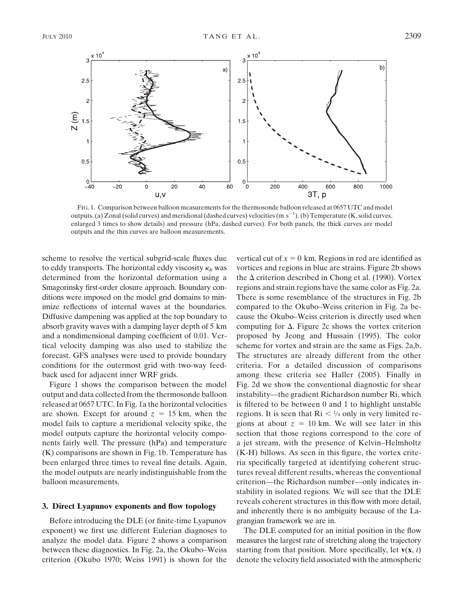

FIG. 1. Comparison between balloon measurements for the thermosonde balloon released at 0657 UTC and model outputs. (a) Zonal (solid curves) and meridional (dashed curves) velocities (m s<sup>-1</sup>). (b) Temperature (K, solid curves, enlarged 3 times to show details) and pressure (hPa, dashed curves). For both panels, the thick curves are model outputs and the thin curves are balloon measurements.

scheme to resolve the vertical subgrid-scale fluxes due to eddy transports. The horizontal eddy viscosity  $\kappa_h$  was determined from the horizontal deformation using a Smagorinsky first-order closure approach. Boundary conditions were imposed on the model grid domains to minimize reflections of internal waves at the boundaries. Diffusive dampening was applied at the top boundary to absorb gravity waves with a damping layer depth of 5 km and a nondimensional damping coefficient of 0.01. Vertical velocity damping was also used to stabilize the forecast. GFS analyses were used to provide boundary conditions for the outermost grid with two-way feedback used for adjacent inner WRF grids.

Figure 1 shows the comparison between the model output and data collected from the thermosonde balloon released at 0657 UTC. In Fig. 1a the horizontal velocities are shown. Except for around  $z = 15$  km, when the model fails to capture a meridional velocity spike, the model outputs capture the horizontal velocity components fairly well. The pressure (hPa) and temperature (K) comparisons are shown in Fig. 1b. Temperature has been enlarged three times to reveal fine details. Again, the model outputs are nearly indistinguishable from the balloon measurements.

## 3. Direct Lyapunov exponents and flow topology

Before introducing the DLE (or finite-time Lyapunov exponent) we first use different Eulerian diagnoses to analyze the model data. Figure 2 shows a comparison between these diagnostics. In Fig. 2a, the Okubo–Weiss criterion (Okubo 1970; Weiss 1991) is shown for the

vertical cut of  $x = 0$  km. Regions in red are identified as vortices and regions in blue are strains. Figure 2b shows the  $\Delta$  criterion described in Chong et al. (1990). Vortex regions and strain regions have the same color as Fig. 2a. There is some resemblance of the structures in Fig. 2b compared to the Okubo–Weiss criterion in Fig. 2a because the Okubo–Weiss criterion is directly used when computing for  $\Delta$ . Figure 2c shows the vortex criterion proposed by Jeong and Hussain (1995). The color scheme for vortex and strain are the same as Figs. 2a,b. The structures are already different from the other criteria. For a detailed discussion of comparisons among these criteria see Haller (2005). Finally in Fig. 2d we show the conventional diagnostic for shear instability—the gradient Richardson number Ri, which is filtered to be between 0 and 1 to highlight unstable regions. It is seen that  $\mathrm{Ri}$  <  $\frac{1}{4}$  only in very limited regions at about  $z = 10$  km. We will see later in this section that those regions correspond to the core of a jet stream, with the presence of Kelvin–Helmholtz (K-H) billows. As seen in this figure, the vortex criteria specifically targeted at identifying coherent structures reveal different results, whereas the conventional criterion—the Richardson number—only indicates instability in isolated regions. We will see that the DLE reveals coherent structures in this flow with more detail, and inherently there is no ambiguity because of the Lagrangian framework we are in.

The DLE computed for an initial position in the flow measures the largest rate of stretching along the trajectory starting from that position. More specifically, let  $v(x, t)$ denote the velocity field associated with the atmospheric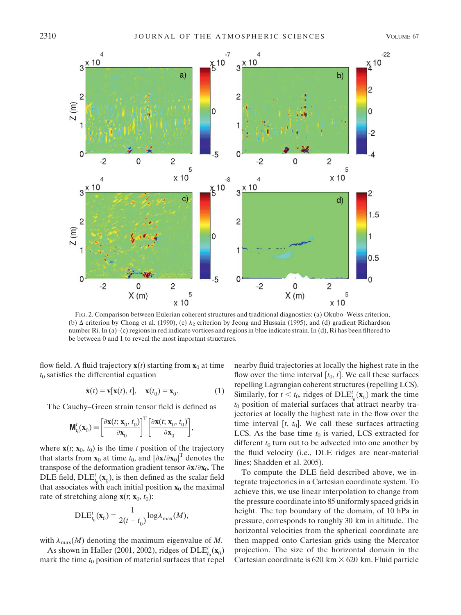

FIG. 2. Comparison between Eulerian coherent structures and traditional diagnostics: (a) Okubo–Weiss criterion, (b)  $\Delta$  criterion by Chong et al. (1990), (c)  $\lambda_2$  criterion by Jeong and Hussain (1995), and (d) gradient Richardson number Ri. In (a)–(c) regions in red indicate vortices and regions in blue indicate strain. In (d), Ri has been filtered to be between 0 and 1 to reveal the most important structures.

flow field. A fluid trajectory  $\mathbf{x}(t)$  starting from  $\mathbf{x}_0$  at time  $t_0$  satisfies the differential equation

$$
\dot{\mathbf{x}}(t) = \mathbf{v}[\mathbf{x}(t), t], \quad \mathbf{x}(t_0) = \mathbf{x}_0.
$$
 (1)

The Cauchy–Green strain tensor field is defined as

$$
\mathbf{M}_{t_0}'(\mathbf{x}_0) = \left[\frac{\partial \mathbf{x}(t; \mathbf{x}_0, t_0)}{\partial \mathbf{x}_0}\right]^{\mathrm{T}} \left[\frac{\partial \mathbf{x}(t; \mathbf{x}_0, t_0)}{\partial \mathbf{x}_0}\right],
$$

where  $\mathbf{x}(t; \mathbf{x}_0, t_0)$  is the time *t* position of the trajectory that starts from  $\mathbf{x}_0$  at time  $t_0$ , and  $\left[\frac{\partial \mathbf{x}}{\partial \mathbf{x}_0}\right]^T$  denotes the transpose of the deformation gradient tensor  $\partial \mathbf{x}/\partial \mathbf{x}_0$ . The DLE field,  $\text{DLE}_{t_0}^t(\mathbf{x}_0)$ , is then defined as the scalar field that associates with each initial position  $x_0$  the maximal rate of stretching along  $\mathbf{x}(t; \mathbf{x}_0, t_0)$ :

$$
\text{DLE}_{t_0}^t(\mathbf{x}_0) = \frac{1}{2(t - t_0)} \log \lambda_{\max}(M),
$$

with  $\lambda_{\text{max}}(M)$  denoting the maximum eigenvalue of M.

As shown in Haller (2001, 2002), ridges of  $\text{DLE}_{t_0}^t(\mathbf{x}_0)$ mark the time  $t_0$  position of material surfaces that repel nearby fluid trajectories at locally the highest rate in the flow over the time interval  $[t_0, t]$ . We call these surfaces repelling Lagrangian coherent structures (repelling LCS). Similarly, for  $t < t_0$ , ridges of  $DLE_{t_0}^t(\mathbf{x}_0)$  mark the time  $t_0$  position of material surfaces that attract nearby trajectories at locally the highest rate in the flow over the time interval [*t*, *t*<sup>0</sup> ]. We call these surfaces attracting LCS. As the base time  $t_0$  is varied, LCS extracted for different  $t_0$  turn out to be advected into one another by the fluid velocity (i.e., DLE ridges are near-material lines; Shadden et al. 2005).

To compute the DLE field described above, we integrate trajectories in a Cartesian coordinate system. To achieve this, we use linear interpolation to change from the pressure coordinate into 85 uniformly spaced grids in height. The top boundary of the domain, of 10 hPa in pressure, corresponds to roughly 30 km in altitude. The horizontal velocities from the spherical coordinate are then mapped onto Cartesian grids using the Mercator projection. The size of the horizontal domain in the Cartesian coordinate is 620 km  $\times$  620 km. Fluid particle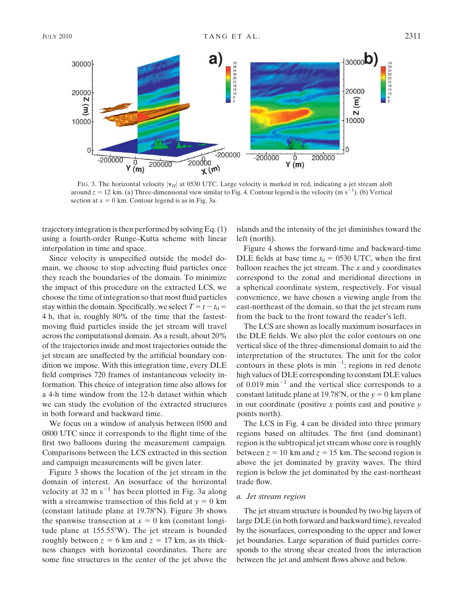

FIG. 3. The horizontal velocity  $|v_H|$  at 0530 UTC. Large velocity is marked in red, indicating a jet stream aloft around  $z = 12$  km. (a) Three-dimensional view similar to Fig. 4. Contour legend is the velocity (m s<sup>-1</sup>). (b) Vertical section at  $x = 0$  km. Contour legend is as in Fig. 3a.

trajectory integration is then performed by solving Eq. (1) using a fourth-order Runge–Kutta scheme with linear interpolation in time and space.

Since velocity is unspecified outside the model domain, we choose to stop advecting fluid particles once they reach the boundaries of the domain. To minimize the impact of this procedure on the extracted LCS, we choose the time of integration so that most fluid particles stay within the domain. Specifically, we select  $T = t - t_0 =$ 4 h, that is, roughly 80% of the time that the fastestmoving fluid particles inside the jet stream will travel across the computational domain. As a result, about 20% of the trajectories inside and most trajectories outside the jet stream are unaffected by the artificial boundary condition we impose. With this integration time, every DLE field comprises 720 frames of instantaneous velocity information. This choice of integration time also allows for a 4-h time window from the 12-h dataset within which we can study the evolution of the extracted structures in both forward and backward time.

We focus on a window of analysis between 0500 and 0800 UTC since it corresponds to the flight time of the first two balloons during the measurement campaign. Comparisons between the LCS extracted in this section and campaign measurements will be given later.

Figure 3 shows the location of the jet stream in the domain of interest. An isosurface of the horizontal velocity at 32 m  $s^{-1}$  has been plotted in Fig. 3a along with a streamwise transection of this field at  $y = 0$  km (constant latitude plane at  $19.78^{\circ}$ N). Figure 3b shows the spanwise transection at  $x = 0$  km (constant longitude plane at  $155.55^{\circ}$ W). The jet stream is bounded roughly between  $z = 6$  km and  $z = 17$  km, as its thickness changes with horizontal coordinates. There are some fine structures in the center of the jet above the islands and the intensity of the jet diminishes toward the left (north).

Figure 4 shows the forward-time and backward-time DLE fields at base time  $t_0 = 0530$  UTC, when the first balloon reaches the jet stream. The *x* and *y* coordinates correspond to the zonal and meridional directions in a spherical coordinate system, respectively. For visual convenience, we have chosen a viewing angle from the east-northeast of the domain, so that the jet stream runs from the back to the front toward the reader's left.

The LCS are shown as locally maximum isosurfaces in the DLE fields. We also plot the color contours on one vertical slice of the three-dimensional domain to aid the interpretation of the structures. The unit for the color contours in these plots is  $min^{-1}$ ; regions in red denote high values of DLE corresponding to constant DLE values of  $0.019$  min<sup>-1</sup> and the vertical slice corresponds to a constant latitude plane at 19.78°N, or the  $y = 0$  km plane in our coordinate (positive *x* points east and positive *y* points north).

The LCS in Fig. 4 can be divided into three primary regions based on altitudes. The first (and dominant) region is the subtropical jet stream whose core is roughly between  $z = 10$  km and  $z = 15$  km. The second region is above the jet dominated by gravity waves. The third region is below the jet dominated by the east-northeast trade flow.

## *a. Jet stream region*

The jet stream structure is bounded by two big layers of large DLE (in both forward and backward time), revealed by the isosurfaces, corresponding to the upper and lower jet boundaries. Large separation of fluid particles corresponds to the strong shear created from the interaction between the jet and ambient flows above and below.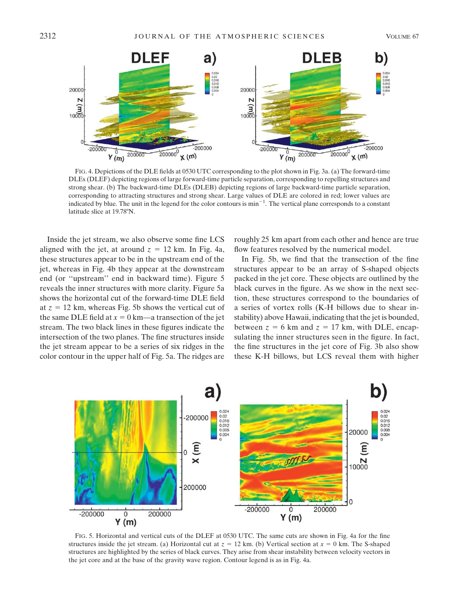

FIG. 4. Depictions of the DLE fields at 0530 UTC corresponding to the plot shown in Fig. 3a. (a) The forward-time DLEs (DLEF) depicting regions of large forward-time particle separation, corresponding to repelling structures and strong shear. (b) The backward-time DLEs (DLEB) depicting regions of large backward-time particle separation, corresponding to attracting structures and strong shear. Large values of DLE are colored in red; lower values are indicated by blue. The unit in the legend for the color contours is  $min^{-1}$ . The vertical plane corresponds to a constant latitude slice at 19.78°N.

Inside the jet stream, we also observe some fine LCS aligned with the jet, at around  $z = 12$  km. In Fig. 4a, these structures appear to be in the upstream end of the jet, whereas in Fig. 4b they appear at the downstream end (or ''upstream'' end in backward time). Figure 5 reveals the inner structures with more clarity. Figure 5a shows the horizontal cut of the forward-time DLE field at  $z = 12$  km, whereas Fig. 5b shows the vertical cut of the same DLE field at  $x = 0$  km—a transection of the jet stream. The two black lines in these figures indicate the intersection of the two planes. The fine structures inside the jet stream appear to be a series of six ridges in the color contour in the upper half of Fig. 5a. The ridges are

roughly 25 km apart from each other and hence are true flow features resolved by the numerical model.

In Fig. 5b, we find that the transection of the fine structures appear to be an array of S-shaped objects packed in the jet core. These objects are outlined by the black curves in the figure. As we show in the next section, these structures correspond to the boundaries of a series of vortex rolls (K-H billows due to shear instability) above Hawaii, indicating that the jet is bounded, between  $z = 6$  km and  $z = 17$  km, with DLE, encapsulating the inner structures seen in the figure. In fact, the fine structures in the jet core of Fig. 3b also show these K-H billows, but LCS reveal them with higher



FIG. 5. Horizontal and vertical cuts of the DLEF at 0530 UTC. The same cuts are shown in Fig. 4a for the fine structures inside the jet stream. (a) Horizontal cut at  $z = 12$  km. (b) Vertical section at  $x = 0$  km. The S-shaped structures are highlighted by the series of black curves. They arise from shear instability between velocity vectors in the jet core and at the base of the gravity wave region. Contour legend is as in Fig. 4a.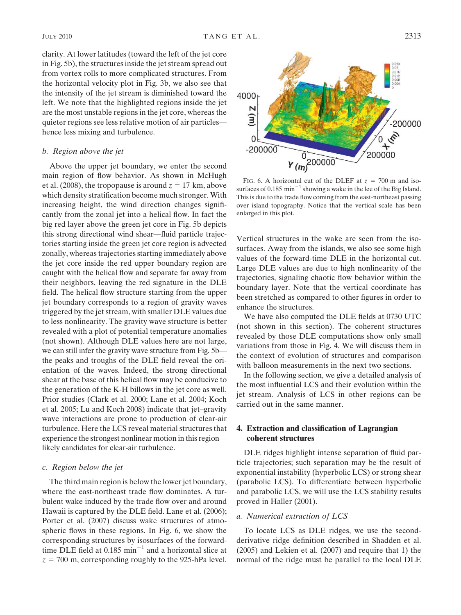clarity. At lower latitudes (toward the left of the jet core in Fig. 5b), the structures inside the jet stream spread out from vortex rolls to more complicated structures. From the horizontal velocity plot in Fig. 3b, we also see that the intensity of the jet stream is diminished toward the left. We note that the highlighted regions inside the jet are the most unstable regions in the jet core, whereas the quieter regions see less relative motion of air particles hence less mixing and turbulence.

### *b. Region above the jet*

Above the upper jet boundary, we enter the second main region of flow behavior. As shown in McHugh et al. (2008), the tropopause is around  $z = 17$  km, above which density stratification become much stronger. With increasing height, the wind direction changes significantly from the zonal jet into a helical flow. In fact the big red layer above the green jet core in Fig. 5b depicts this strong directional wind shear—fluid particle trajectories starting inside the green jet core region is advected zonally, whereas trajectories starting immediately above the jet core inside the red upper boundary region are caught with the helical flow and separate far away from their neighbors, leaving the red signature in the DLE field. The helical flow structure starting from the upper jet boundary corresponds to a region of gravity waves triggered by the jet stream, with smaller DLE values due to less nonlinearity. The gravity wave structure is better revealed with a plot of potential temperature anomalies (not shown). Although DLE values here are not large, we can still infer the gravity wave structure from Fig. 5b the peaks and troughs of the DLE field reveal the orientation of the waves. Indeed, the strong directional shear at the base of this helical flow may be conducive to the generation of the K-H billows in the jet core as well. Prior studies (Clark et al. 2000; Lane et al. 2004; Koch et al. 2005; Lu and Koch 2008) indicate that jet–gravity wave interactions are prone to production of clear-air turbulence. Here the LCS reveal material structures that experience the strongest nonlinear motion in this region likely candidates for clear-air turbulence.

#### *c. Region below the jet*

The third main region is below the lower jet boundary, where the east-northeast trade flow dominates. A turbulent wake induced by the trade flow over and around Hawaii is captured by the DLE field. Lane et al. (2006); Porter et al. (2007) discuss wake structures of atmospheric flows in these regions. In Fig. 6, we show the corresponding structures by isosurfaces of the forwardtime DLE field at 0.185  $\text{min}^{-1}$  and a horizontal slice at  $z = 700$  m, corresponding roughly to the 925-hPa level.



FIG. 6. A horizontal cut of the DLEF at  $z = 700$  m and isosurfaces of 0.185  $\text{min}^{-1}$  showing a wake in the lee of the Big Island. This is due to the trade flow coming from the east-northeast passing over island topography. Notice that the vertical scale has been enlarged in this plot.

Vertical structures in the wake are seen from the isosurfaces. Away from the islands, we also see some high values of the forward-time DLE in the horizontal cut. Large DLE values are due to high nonlinearity of the trajectories, signaling chaotic flow behavior within the boundary layer. Note that the vertical coordinate has been stretched as compared to other figures in order to enhance the structures.

We have also computed the DLE fields at 0730 UTC (not shown in this section). The coherent structures revealed by those DLE computations show only small variations from those in Fig. 4. We will discuss them in the context of evolution of structures and comparison with balloon measurements in the next two sections.

In the following section, we give a detailed analysis of the most influential LCS and their evolution within the jet stream. Analysis of LCS in other regions can be carried out in the same manner.

# 4. Extraction and classification of Lagrangian coherent structures

DLE ridges highlight intense separation of fluid particle trajectories; such separation may be the result of exponential instability (hyperbolic LCS) or strong shear (parabolic LCS). To differentiate between hyperbolic and parabolic LCS, we will use the LCS stability results proved in Haller (2001).

### *a. Numerical extraction of LCS*

To locate LCS as DLE ridges, we use the secondderivative ridge definition described in Shadden et al. (2005) and Lekien et al. (2007) and require that 1) the normal of the ridge must be parallel to the local DLE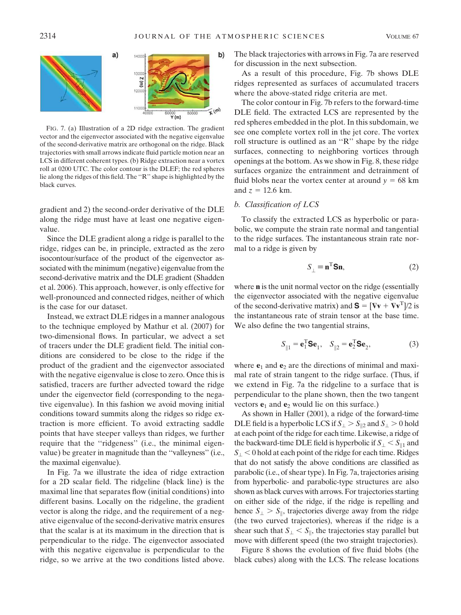

FIG. 7. (a) Illustration of a 2D ridge extraction. The gradient vector and the eigenvector associated with the negative eigenvalue of the second-derivative matrix are orthogonal on the ridge. Black trajectories with small arrows indicate fluid particle motion near an LCS in different coherent types. (b) Ridge extraction near a vortex roll at 0200 UTC. The color contour is the DLEF; the red spheres lie along the ridges of this field. The ''R'' shape is highlighted by the black curves.

gradient and 2) the second-order derivative of the DLE along the ridge must have at least one negative eigenvalue.

Since the DLE gradient along a ridge is parallel to the ridge, ridges can be, in principle, extracted as the zero isocontour/surface of the product of the eigenvector associated with the minimum (negative) eigenvalue from the second-derivative matrix and the DLE gradient (Shadden et al. 2006). This approach, however, is only effective for well-pronounced and connected ridges, neither of which is the case for our dataset.

Instead, we extract DLE ridges in a manner analogous to the technique employed by Mathur et al. (2007) for two-dimensional flows. In particular, we advect a set of tracers under the DLE gradient field. The initial conditions are considered to be close to the ridge if the product of the gradient and the eigenvector associated with the negative eigenvalue is close to zero. Once this is satisfied, tracers are further advected toward the ridge under the eigenvector field (corresponding to the negative eigenvalue). In this fashion we avoid moving initial conditions toward summits along the ridges so ridge extraction is more efficient. To avoid extracting saddle points that have steeper valleys than ridges, we further require that the "ridgeness" (i.e., the minimal eigenvalue) be greater in magnitude than the ''valleyness'' (i.e., the maximal eigenvalue).

In Fig. 7a we illustrate the idea of ridge extraction for a 2D scalar field. The ridgeline (black line) is the maximal line that separates flow (initial conditions) into different basins. Locally on the ridgeline, the gradient vector is along the ridge, and the requirement of a negative eigenvalue of the second-derivative matrix ensures that the scalar is at its maximum in the direction that is perpendicular to the ridge. The eigenvector associated with this negative eigenvalue is perpendicular to the ridge, so we arrive at the two conditions listed above.

The black trajectories with arrows in Fig. 7a are reserved for discussion in the next subsection.

As a result of this procedure, Fig. 7b shows DLE ridges represented as surfaces of accumulated tracers where the above-stated ridge criteria are met.

The color contour in Fig. 7b refers to the forward-time DLE field. The extracted LCS are represented by the red spheres embedded in the plot. In this subdomain, we see one complete vortex roll in the jet core. The vortex roll structure is outlined as an ''R'' shape by the ridge surfaces, connecting to neighboring vortices through openings at the bottom. As we show in Fig. 8, these ridge surfaces organize the entrainment and detrainment of fluid blobs near the vortex center at around  $y = 68$  km and  $z = 12.6$  km.

### *b. Classification of LCS*

To classify the extracted LCS as hyperbolic or parabolic, we compute the strain rate normal and tangential to the ridge surfaces. The instantaneous strain rate normal to a ridge is given by

$$
S_{\perp} = \mathbf{n}^{\mathrm{T}} \mathbf{S} \mathbf{n},\tag{2}
$$

where **n** is the unit normal vector on the ridge (essentially the eigenvector associated with the negative eigenvalue of the second-derivative matrix) and  $\mathbf{S} = [\nabla \mathbf{v} + \nabla \mathbf{v}^T]/2$  is the instantaneous rate of strain tensor at the base time. We also define the two tangential strains,

$$
S_{\parallel 1} = \mathbf{e}_1^{\mathrm{T}} \mathbf{S} \mathbf{e}_1, \quad S_{\parallel 2} = \mathbf{e}_2^{\mathrm{T}} \mathbf{S} \mathbf{e}_2,\tag{3}
$$

where  $e_1$  and  $e_2$  are the directions of minimal and maximal rate of strain tangent to the ridge surface. (Thus, if we extend in Fig. 7a the ridgeline to a surface that is perpendicular to the plane shown, then the two tangent vectors  $e_1$  and  $e_2$  would lie on this surface.)

As shown in Haller (2001), a ridge of the forward-time DLE field is a hyperbolic LCS if  $S_{\perp} > S_{\parallel 2}$  and  $S_{\perp} > 0$  hold at each point of the ridge for each time. Likewise, a ridge of the backward-time DLE field is hyperbolic if  $S_{\perp} < S_{\parallel 1}$  and  $S_{\perp}$  < 0 hold at each point of the ridge for each time. Ridges that do not satisfy the above conditions are classified as parabolic (i.e., of shear type).In Fig. 7a, trajectories arising from hyperbolic- and parabolic-type structures are also shown as black curves with arrows. For trajectories starting on either side of the ridge, if the ridge is repelling and hence  $S_{\perp} > S_{\parallel}$ , trajectories diverge away from the ridge (the two curved trajectories), whereas if the ridge is a shear such that  $S_{\perp} < S_{\parallel}$ , the trajectories stay parallel but move with different speed (the two straight trajectories).

Figure 8 shows the evolution of five fluid blobs (the black cubes) along with the LCS. The release locations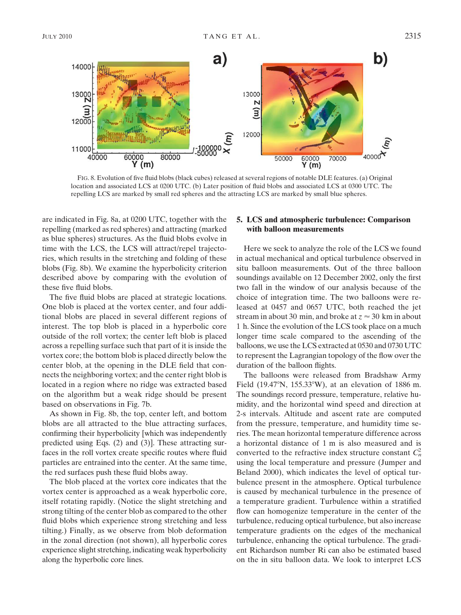

FIG. 8. Evolution of five fluid blobs (black cubes) released at several regions of notable DLE features. (a) Original location and associated LCS at 0200 UTC. (b) Later position of fluid blobs and associated LCS at 0300 UTC. The repelling LCS are marked by small red spheres and the attracting LCS are marked by small blue spheres.

are indicated in Fig. 8a, at 0200 UTC, together with the repelling (marked as red spheres) and attracting (marked as blue spheres) structures. As the fluid blobs evolve in time with the LCS, the LCS will attract/repel trajectories, which results in the stretching and folding of these blobs (Fig. 8b). We examine the hyperbolicity criterion described above by comparing with the evolution of these five fluid blobs.

The five fluid blobs are placed at strategic locations. One blob is placed at the vortex center, and four additional blobs are placed in several different regions of interest. The top blob is placed in a hyperbolic core outside of the roll vortex; the center left blob is placed across a repelling surface such that part of it is inside the vortex core; the bottom blob is placed directly below the center blob, at the opening in the DLE field that connects the neighboring vortex; and the center right blob is located in a region where no ridge was extracted based on the algorithm but a weak ridge should be present based on observations in Fig. 7b.

As shown in Fig. 8b, the top, center left, and bottom blobs are all attracted to the blue attracting surfaces, confirming their hyperbolicity [which was independently predicted using Eqs. (2) and (3)]. These attracting surfaces in the roll vortex create specific routes where fluid particles are entrained into the center. At the same time, the red surfaces push these fluid blobs away.

The blob placed at the vortex core indicates that the vortex center is approached as a weak hyperbolic core, itself rotating rapidly. (Notice the slight stretching and strong tilting of the center blob as compared to the other fluid blobs which experience strong stretching and less tilting.) Finally, as we observe from blob deformation in the zonal direction (not shown), all hyperbolic cores experience slight stretching, indicating weak hyperbolicity along the hyperbolic core lines.

# 5. LCS and atmospheric turbulence: Comparison with balloon measurements

Here we seek to analyze the role of the LCS we found in actual mechanical and optical turbulence observed in situ balloon measurements. Out of the three balloon soundings available on 12 December 2002, only the first two fall in the window of our analysis because of the choice of integration time. The two balloons were released at 0457 and 0657 UTC, both reached the jet stream in about 30 min, and broke at  $z \approx 30$  km in about 1 h. Since the evolution of the LCS took place on a much longer time scale compared to the ascending of the balloons, we use the LCS extracted at 0530 and 0730 UTC to represent the Lagrangian topology of the flow over the duration of the balloon flights.

The balloons were released from Bradshaw Army Field (19.47°N, 155.33°W), at an elevation of 1886 m. The soundings record pressure, temperature, relative humidity, and the horizontal wind speed and direction at 2-s intervals. Altitude and ascent rate are computed from the pressure, temperature, and humidity time series. The mean horizontal temperature difference across a horizontal distance of 1 m is also measured and is converted to the refractive index structure constant  $C_n^2$ using the local temperature and pressure (Jumper and Beland 2000), which indicates the level of optical turbulence present in the atmosphere. Optical turbulence is caused by mechanical turbulence in the presence of a temperature gradient. Turbulence within a stratified flow can homogenize temperature in the center of the turbulence, reducing optical turbulence, but also increase temperature gradients on the edges of the mechanical turbulence, enhancing the optical turbulence. The gradient Richardson number Ri can also be estimated based on the in situ balloon data. We look to interpret LCS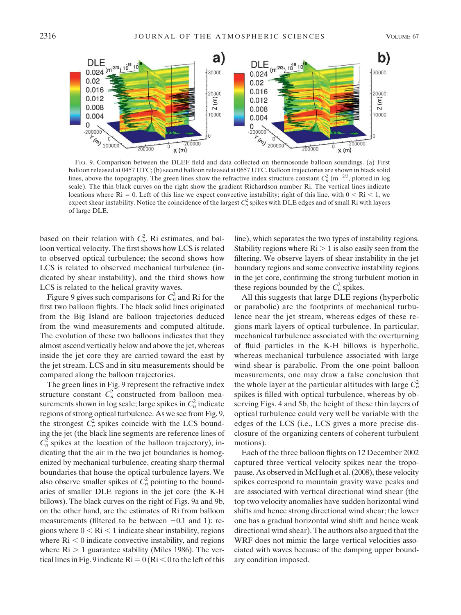

FIG. 9. Comparison between the DLEF field and data collected on thermosonde balloon soundings. (a) First balloon released at 0457 UTC; (b) second balloon released at 0657 UTC. Balloon trajectories are shown in black solid lines, above the topography. The green lines show the refractive index structure constant  $C_n^2$  (m<sup>-2/3</sup>, plotted in log scale). The thin black curves on the right show the gradient Richardson number Ri. The vertical lines indicate locations where Ri = 0. Left of this line we expect convective instability; right of this line, with  $0 < Ri$  , we expect shear instability. Notice the coincidence of the largest  $C_n^2$  spikes with DLE edges and of small Ri with layers of large DLE.

based on their relation with  $C_n^2$ , Ri estimates, and balloon vertical velocity. The first shows how LCS is related to observed optical turbulence; the second shows how LCS is related to observed mechanical turbulence (indicated by shear instability), and the third shows how LCS is related to the helical gravity waves.

Figure 9 gives such comparisons for  $C_n^2$  and Ri for the first two balloon flights. The black solid lines originated from the Big Island are balloon trajectories deduced from the wind measurements and computed altitude. The evolution of these two balloons indicates that they almost ascend vertically below and above the jet, whereas inside the jet core they are carried toward the east by the jet stream. LCS and in situ measurements should be compared along the balloon trajectories.

The green lines in Fig. 9 represent the refractive index structure constant  $C_n^2$  constructed from balloon measurements shown in log scale; large spikes in  $C_n^2$  indicate regions of strong optical turbulence. As we see from Fig. 9, the strongest  $C_n^2$  spikes coincide with the LCS bounding the jet (the black line segments are reference lines of  $C_n^2$  spikes at the location of the balloon trajectory), indicating that the air in the two jet boundaries is homogenized by mechanical turbulence, creating sharp thermal boundaries that house the optical turbulence layers. We also observe smaller spikes of  $C_n^2$  pointing to the boundaries of smaller DLE regions in the jet core (the K-H billows). The black curves on the right of Figs. 9a and 9b, on the other hand, are the estimates of Ri from balloon measurements (filtered to be between  $-0.1$  and 1): regions where  $0 < Ri < 1$  indicate shear instability, regions where  $\mathrm{Ri}$  < 0 indicate convective instability, and regions where  $\mathrm{Ri} > 1$  guarantee stability (Miles 1986). The vertical lines in Fig. 9 indicate  $\text{Ri} = 0$  ( $\text{Ri} < 0$  to the left of this

line), which separates the two types of instability regions. Stability regions where  $\mathrm{Ri} > 1$  is also easily seen from the filtering. We observe layers of shear instability in the jet boundary regions and some convective instability regions in the jet core, confirming the strong turbulent motion in these regions bounded by the  $C_n^2$  spikes.

All this suggests that large DLE regions (hyperbolic or parabolic) are the footprints of mechanical turbulence near the jet stream, whereas edges of these regions mark layers of optical turbulence. In particular, mechanical turbulence associated with the overturning of fluid particles in the K-H billows is hyperbolic, whereas mechanical turbulence associated with large wind shear is parabolic. From the one-point balloon measurements, one may draw a false conclusion that the whole layer at the particular altitudes with large  $C_n^2$ spikes is filled with optical turbulence, whereas by observing Figs. 4 and 5b, the height of these thin layers of optical turbulence could very well be variable with the edges of the LCS (i.e., LCS gives a more precise disclosure of the organizing centers of coherent turbulent motions).

Each of the three balloon flights on 12 December 2002 captured three vertical velocity spikes near the tropopause. As observed in McHugh et al. (2008), these velocity spikes correspond to mountain gravity wave peaks and are associated with vertical directional wind shear (the top two velocity anomalies have sudden horizontal wind shifts and hence strong directional wind shear; the lower one has a gradual horizontal wind shift and hence weak directional wind shear). The authors also argued that the WRF does not mimic the large vertical velocities associated with waves because of the damping upper boundary condition imposed.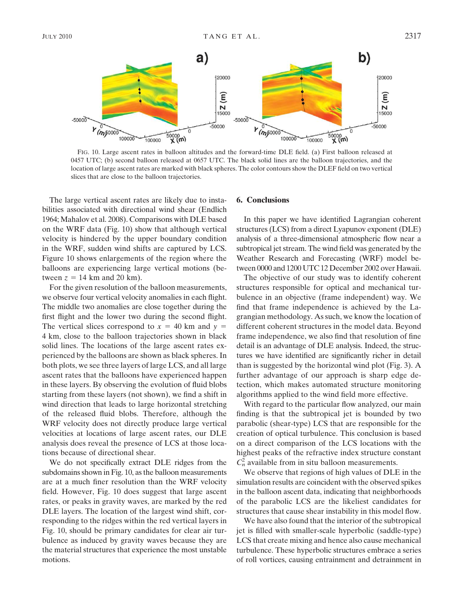

FIG. 10. Large ascent rates in balloon altitudes and the forward-time DLE field. (a) First balloon released at 0457 UTC; (b) second balloon released at 0657 UTC. The black solid lines are the balloon trajectories, and the location of large ascent rates are marked with black spheres. The color contours show the DLEF field on two vertical slices that are close to the balloon trajectories.

The large vertical ascent rates are likely due to instabilities associated with directional wind shear (Endlich 1964; Mahalov et al. 2008). Comparisons with DLE based on the WRF data (Fig. 10) show that although vertical velocity is hindered by the upper boundary condition in the WRF, sudden wind shifts are captured by LCS. Figure 10 shows enlargements of the region where the balloons are experiencing large vertical motions (between  $z = 14$  km and 20 km).

For the given resolution of the balloon measurements, we observe four vertical velocity anomalies in each flight. The middle two anomalies are close together during the first flight and the lower two during the second flight. The vertical slices correspond to  $x = 40$  km and  $y =$ 4 km, close to the balloon trajectories shown in black solid lines. The locations of the large ascent rates experienced by the balloons are shown as black spheres. In both plots, we see three layers of large LCS, and all large ascent rates that the balloons have experienced happen in these layers. By observing the evolution of fluid blobs starting from these layers (not shown), we find a shift in wind direction that leads to large horizontal stretching of the released fluid blobs. Therefore, although the WRF velocity does not directly produce large vertical velocities at locations of large ascent rates, our DLE analysis does reveal the presence of LCS at those locations because of directional shear.

We do not specifically extract DLE ridges from the subdomains shown in Fig. 10, as the balloon measurements are at a much finer resolution than the WRF velocity field. However, Fig. 10 does suggest that large ascent rates, or peaks in gravity waves, are marked by the red DLE layers. The location of the largest wind shift, corresponding to the ridges within the red vertical layers in Fig. 10, should be primary candidates for clear air turbulence as induced by gravity waves because they are the material structures that experience the most unstable motions.

#### 6. Conclusions

In this paper we have identified Lagrangian coherent structures (LCS) from a direct Lyapunov exponent (DLE) analysis of a three-dimensional atmospheric flow near a subtropical jet stream. The wind field was generated by the Weather Research and Forecasting (WRF) model between 0000 and 1200 UTC 12 December 2002 over Hawaii.

The objective of our study was to identify coherent structures responsible for optical and mechanical turbulence in an objective (frame independent) way. We find that frame independence is achieved by the Lagrangian methodology. As such, we know the location of different coherent structures in the model data. Beyond frame independence, we also find that resolution of fine detail is an advantage of DLE analysis. Indeed, the structures we have identified are significantly richer in detail than is suggested by the horizontal wind plot (Fig. 3). A further advantage of our approach is sharp edge detection, which makes automated structure monitoring algorithms applied to the wind field more effective.

With regard to the particular flow analyzed, our main finding is that the subtropical jet is bounded by two parabolic (shear-type) LCS that are responsible for the creation of optical turbulence. This conclusion is based on a direct comparison of the LCS locations with the highest peaks of the refractive index structure constant  $C_n^2$  available from in situ balloon measurements.

We observe that regions of high values of DLE in the simulation results are coincident with the observed spikes in the balloon ascent data, indicating that neighborhoods of the parabolic LCS are the likeliest candidates for structures that cause shear instability in this model flow.

We have also found that the interior of the subtropical jet is filled with smaller-scale hyperbolic (saddle-type) LCS that create mixing and hence also cause mechanical turbulence. These hyperbolic structures embrace a series of roll vortices, causing entrainment and detrainment in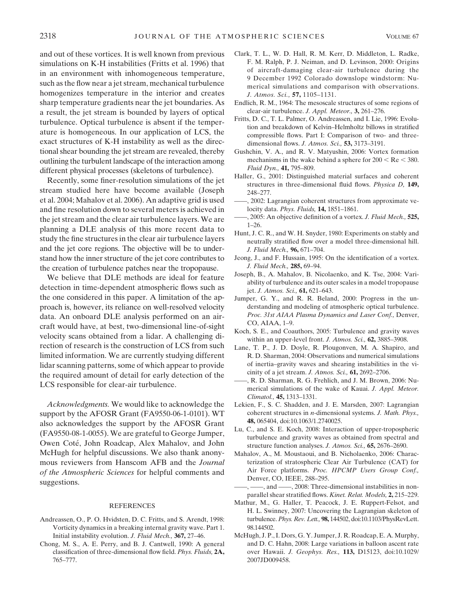and out of these vortices. It is well known from previous simulations on K-H instabilities (Fritts et al. 1996) that in an environment with inhomogeneous temperature, such as the flow near a jet stream, mechanical turbulence homogenizes temperature in the interior and creates sharp temperature gradients near the jet boundaries. As a result, the jet stream is bounded by layers of optical turbulence. Optical turbulence is absent if the temperature is homogeneous. In our application of LCS, the exact structures of K-H instability as well as the directional shear bounding the jet stream are revealed, thereby outlining the turbulent landscape of the interaction among different physical processes (skeletons of turbulence).

Recently, some finer-resolution simulations of the jet stream studied here have become available (Joseph et al. 2004; Mahalov et al. 2006). An adaptive grid is used and fine resolution down to several meters is achieved in the jet stream and the clear air turbulence layers. We are planning a DLE analysis of this more recent data to study the fine structures in the clear air turbulence layers and the jet core regions. The objective will be to understand how the inner structure of the jet core contributes to the creation of turbulence patches near the tropopause.

We believe that DLE methods are ideal for feature detection in time-dependent atmospheric flows such as the one considered in this paper. A limitation of the approach is, however, its reliance on well-resolved velocity data. An onboard DLE analysis performed on an aircraft would have, at best, two-dimensional line-of-sight velocity scans obtained from a lidar. A challenging direction of research is the construction of LCS from such limited information. We are currently studying different lidar scanning patterns, some of which appear to provide the required amount of detail for early detection of the LCS responsible for clear-air turbulence.

*Acknowledgments.* We would like to acknowledge the support by the AFOSR Grant (FA9550-06-1-0101). WT also acknowledges the support by the AFOSR Grant (FA9550-08-1-0055). We are grateful to George Jumper, Owen Coté, John Roadcap, Alex Mahalov, and John McHugh for helpful discussions. We also thank anonymous reviewers from Hanscom AFB and the *Journal of the Atmospheric Sciences* for helpful comments and suggestions.

#### REFERENCES

- Andreassen, O., P. O. Hvidsten, D. C. Fritts, and S. Arendt, 1998: Vorticity dynamics in a breaking internal gravity wave. Part 1. Initial instability evolution. *J. Fluid Mech.,* 367, 27–46.
- Chong, M. S., A. E. Perry, and B. J. Cantwell, 1990: A general classification of three-dimensional flow field. *Phys. Fluids,* 2A, 765–777.
- Clark, T. L., W. D. Hall, R. M. Kerr, D. Middleton, L. Radke, F. M. Ralph, P. J. Neiman, and D. Levinson, 2000: Origins of aircraft-damaging clear-air turbulence during the 9 December 1992 Colorado downslope windstorm: Numerical simulations and comparison with observations. *J. Atmos. Sci.,* 57, 1105–1131.
- Endlich, R. M., 1964: The mesoscale structures of some regions of clear-air turbulence. *J. Appl. Meteor.,* 3, 261–276.
- Fritts, D. C., T. L. Palmer, O. Andreassen, and I. Lie, 1996: Evolution and breakdown of Kelvin–Helmholtz billows in stratified compressible flows. Part I: Comparison of two- and threedimensional flows. *J. Atmos. Sci.,* 53, 3173–3191.
- Gushchin, V. A., and R. V. Matyushin, 2006: Vortex formation mechanisms in the wake behind a sphere for  $200 < Re < 380$ . *Fluid Dyn.,* 41, 795–809.
- Haller, G., 2001: Distinguished material surfaces and coherent structures in three-dimensional fluid flows. *Physica D,* 149, 248–277.
- ——, 2002: Lagrangian coherent structures from approximate velocity data. *Phys. Fluids,* 14, 1851–1861.
- ——, 2005: An objective definition of a vortex. *J. Fluid Mech.,* 525,  $1 - 26$ .
- Hunt, J. C. R., and W. H. Snyder, 1980: Experiments on stably and neutrally stratified flow over a model three-dimensional hill. *J. Fluid Mech.,* 96, 671–704.
- Jeong, J., and F. Hussain, 1995: On the identification of a vortex. *J. Fluid Mech.,* 285, 69–94.
- Joseph, B., A. Mahalov, B. Nicolaenko, and K. Tse, 2004: Variability of turbulence and its outer scales in a model tropopause jet. *J. Atmos. Sci.,* 61, 621–643.
- Jumper, G. Y., and R. R. Beland, 2000: Progress in the understanding and modeling of atmospheric optical turbulence. *Proc. 31st AIAA Plasma Dynamics and Laser Conf.,* Denver, CO, AIAA, 1–9.
- Koch, S. E., and Coauthors, 2005: Turbulence and gravity waves within an upper-level front. *J. Atmos. Sci.,* 62, 3885–3908.
- Lane, T. P., J. D. Doyle, R. Plougonven, M. A. Shapiro, and R. D. Sharman, 2004: Observations and numerical simulations of inertia–gravity waves and shearing instabilities in the vicinity of a jet stream. *J. Atmos. Sci.,* 61, 2692–2706.
- ——, R. D. Sharman, R. G. Frehlich, and J. M. Brown, 2006: Numerical simulations of the wake of Kauai. *J. Appl. Meteor. Climatol.,* 45, 1313–1331.
- Lekien, F., S. C. Shadden, and J. E. Marsden, 2007: Lagrangian coherent structures in *n*-dimensional systems. *J. Math. Phys.,* 48, 065404, doi:10.1063/1.2740025.
- Lu, C., and S. E. Koch, 2008: Interaction of upper-tropospheric turbulence and gravity waves as obtained from spectral and structure function analyses. *J. Atmos. Sci.,* 65, 2676–2690.
- Mahalov, A., M. Moustaoui, and B. Nicholaenko, 2006: Characterization of stratospheric Clear Air Turbulence (CAT) for Air Force platforms. *Proc. HPCMP Users Group Conf.,* Denver, CO, IEEE, 288–295.
- -, and  $\frac{1}{2008}$ : Three-dimensional instabilities in nonparallel shear stratified flows. *Kinet. Relat. Models,* 2, 215–229.
- Mathur, M., G. Haller, T. Peacock, J. E. Ruppert-Felsot, and H. L. Swinney, 2007: Uncovering the Lagrangian skeleton of turbulence.*Phys. Rev. Lett.,* 98, 144502, doi:10.1103/PhysRevLett. 98.144502.
- McHugh, J. P., I. Dors, G. Y. Jumper, J. R. Roadcap, E. A. Murphy, and D. C. Hahn, 2008: Large variations in balloon ascent rate over Hawaii. *J. Geophys. Res.,* 113, D15123, doi:10.1029/ 2007JD009458.